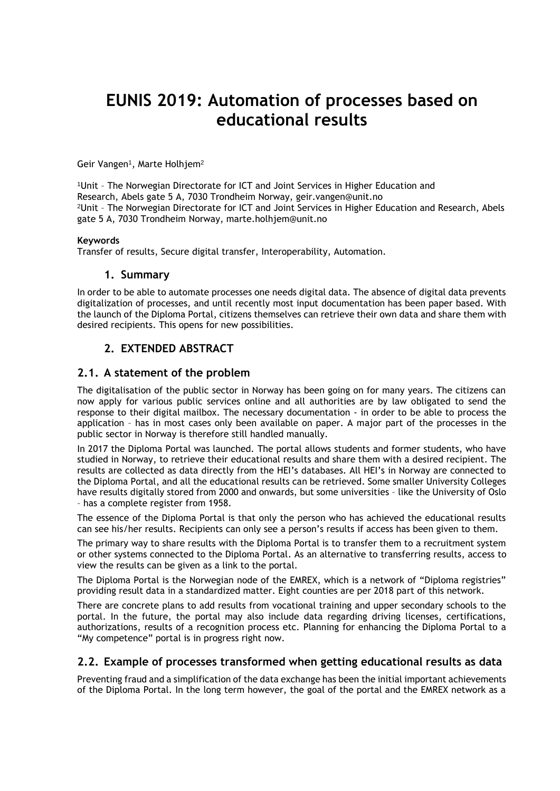# **EUNIS 2019: Automation of processes based on educational results**

Geir Vangen<sup>1</sup>, Marte Holhjem<sup>2</sup>

<sup>1</sup>Unit – The Norwegian Directorate for ICT and Joint Services in Higher Education and Research, Abels gate 5 A, 7030 Trondheim Norway, geir.vangen@unit.no <sup>2</sup>Unit – The Norwegian Directorate for ICT and Joint Services in Higher Education and Research, Abels gate 5 A, 7030 Trondheim Norway, marte.holhjem@unit.no

#### **Keywords**

Transfer of results, Secure digital transfer, Interoperability, Automation.

#### **1. Summary**

In order to be able to automate processes one needs digital data. The absence of digital data prevents digitalization of processes, and until recently most input documentation has been paper based. With the launch of the Diploma Portal, citizens themselves can retrieve their own data and share them with desired recipients. This opens for new possibilities.

# **2. EXTENDED ABSTRACT**

### **2.1. A statement of the problem**

The digitalisation of the public sector in Norway has been going on for many years. The citizens can now apply for various public services online and all authorities are by law obligated to send the response to their digital mailbox. The necessary documentation - in order to be able to process the application – has in most cases only been available on paper. A major part of the processes in the public sector in Norway is therefore still handled manually.

In 2017 the Diploma Portal was launched. The portal allows students and former students, who have studied in Norway, to retrieve their educational results and share them with a desired recipient. The results are collected as data directly from the HEI's databases. All HEI's in Norway are connected to the Diploma Portal, and all the educational results can be retrieved. Some smaller University Colleges have results digitally stored from 2000 and onwards, but some universities – like the University of Oslo – has a complete register from 1958.

The essence of the Diploma Portal is that only the person who has achieved the educational results can see his/her results. Recipients can only see a person's results if access has been given to them.

The primary way to share results with the Diploma Portal is to transfer them to a recruitment system or other systems connected to the Diploma Portal. As an alternative to transferring results, access to view the results can be given as a link to the portal.

The Diploma Portal is the Norwegian node of the EMREX, which is a network of "Diploma registries" providing result data in a standardized matter. Eight counties are per 2018 part of this network.

There are concrete plans to add results from vocational training and upper secondary schools to the portal. In the future, the portal may also include data regarding driving licenses, certifications, authorizations, results of a recognition process etc. Planning for enhancing the Diploma Portal to a "My competence" portal is in progress right now.

#### **2.2. Example of processes transformed when getting educational results as data**

Preventing fraud and a simplification of the data exchange has been the initial important achievements of the Diploma Portal. In the long term however, the goal of the portal and the EMREX network as a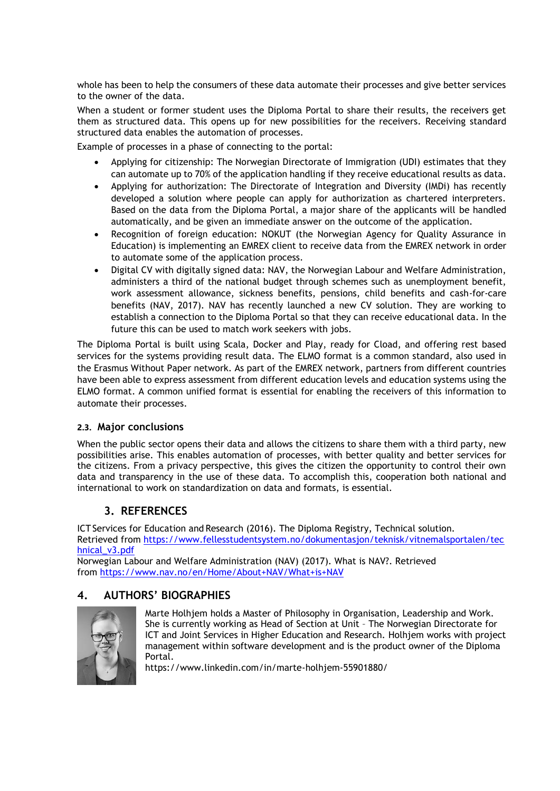whole has been to help the consumers of these data automate their processes and give better services to the owner of the data.

When a student or former student uses the Diploma Portal to share their results, the receivers get them as structured data. This opens up for new possibilities for the receivers. Receiving standard structured data enables the automation of processes.

Example of processes in a phase of connecting to the portal:

- Applying for citizenship: The Norwegian Directorate of Immigration (UDI) estimates that they can automate up to 70% of the application handling if they receive educational results as data.
- Applying for authorization: The Directorate of Integration and Diversity (IMDi) has recently developed a solution where people can apply for authorization as chartered interpreters. Based on the data from the Diploma Portal, a major share of the applicants will be handled automatically, and be given an immediate answer on the outcome of the application.
- Recognition of foreign education: NOKUT (the Norwegian Agency for Quality Assurance in Education) is implementing an EMREX client to receive data from the EMREX network in order to automate some of the application process.
- Digital CV with digitally signed data: NAV, the Norwegian Labour and Welfare Administration, administers a third of the national budget through schemes such as unemployment benefit, work assessment allowance, sickness benefits, pensions, child benefits and cash-for-care benefits (NAV, 2017). NAV has recently launched a new CV solution. They are working to establish a connection to the Diploma Portal so that they can receive educational data. In the future this can be used to match work seekers with jobs.

The Diploma Portal is built using Scala, Docker and Play, ready for Cload, and offering rest based services for the systems providing result data. The ELMO format is a common standard, also used in the Erasmus Without Paper network. As part of the EMREX network, partners from different countries have been able to express assessment from different education levels and education systems using the ELMO format. A common unified format is essential for enabling the receivers of this information to automate their processes.

#### **2.3. Major conclusions**

When the public sector opens their data and allows the citizens to share them with a third party, new possibilities arise. This enables automation of processes, with better quality and better services for the citizens. From a privacy perspective, this gives the citizen the opportunity to control their own data and transparency in the use of these data. To accomplish this, cooperation both national and international to work on standardization on data and formats, is essential.

## **3. REFERENCES**

ICT Services for Education and Research (2016). The Diploma Registry, Technical solution. Retrieved from [https://www.fellesstudentsystem.no/dokumentasjon/teknisk/vitnemalsportalen/tec](https://www.fellesstudentsystem.no/dokumentasjon/teknisk/vitnemalsportalen/technical_v3.pdf) [hnical\\_v3.pdf](https://www.fellesstudentsystem.no/dokumentasjon/teknisk/vitnemalsportalen/technical_v3.pdf) Norwegian Labour and Welfare Administration (NAV) (2017). What is NAV?. Retrieved

from <https://www.nav.no/en/Home/About+NAV/What+is+NAV>

# **4. AUTHORS' BIOGRAPHIES**



Marte Holhjem holds a Master of Philosophy in Organisation, Leadership and Work. She is currently working as Head of Section at Unit – The Norwegian Directorate for ICT and Joint Services in Higher Education and Research. Holhjem works with project management within software development and is the product owner of the Diploma Portal.

<https://www.linkedin.com/in/marte-holhjem-55901880/>